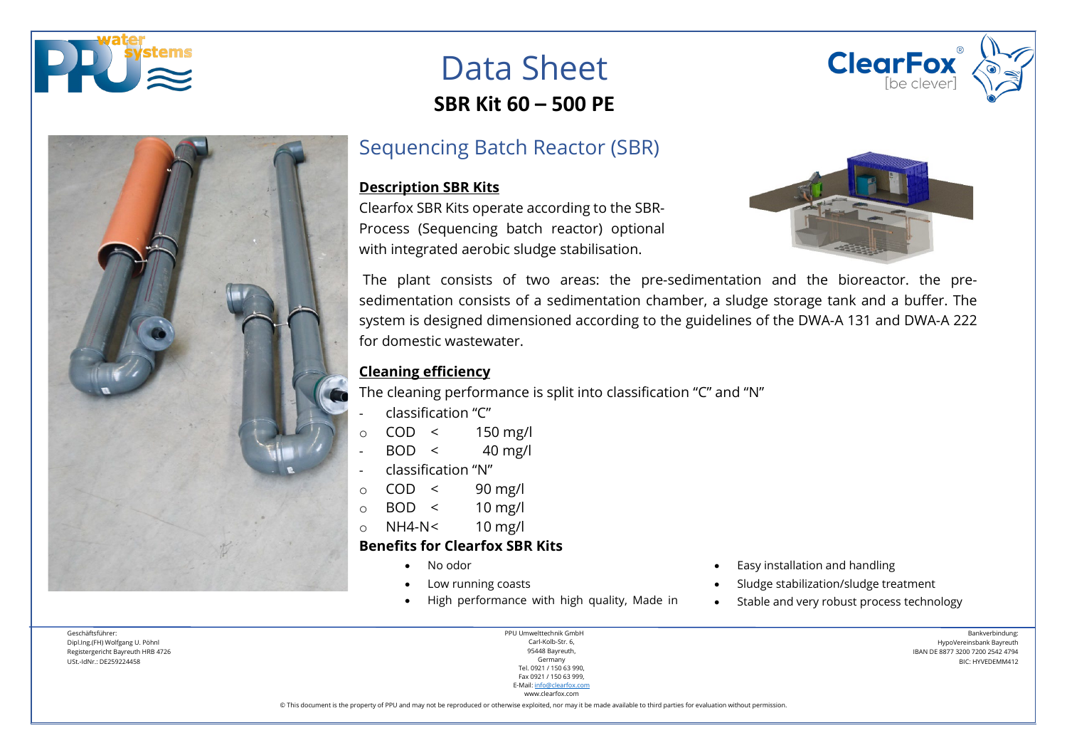



## Data Sheet **SBR Kit 60 – 500 PE**

## Sequencing Batch Reactor (SBR)

#### **Description SBR Kits**

Clearfox SBR Kits operate according to the SBR-Process (Sequencing batch reactor) optional with integrated aerobic sludge stabilisation.



The plant consists of two areas: the pre-sedimentation and the bioreactor. the presedimentation consists of a sedimentation chamber, a sludge storage tank and a buffer. The system is designed dimensioned according to the guidelines of the DWA-A 131 and DWA-A 222 for domestic wastewater.

### **Cleaning efficiency**

The cleaning performance is split into classification "C" and "N"

- classification "C"
- $\circ$  COD < 150 mg/l
- $BOD < 40$  mg/l
- classification "N"
- $\circ$  COD < 90 mg/l
- $\circ$  BOD < 10 mg/l
- $\circ$  NH4-N< 10 mg/l

#### **Benefits for Clearfox SBR Kits**

- 
- 
- High performance with high quality, Made in Stable and very robust process technology
- No odor  **Easy installation and handling •** Easy installation and handling
- Low running coasts Sludge stabilization/sludge treatment
	-

Geschäftsführer: Dipl.Ing.(FH) Wolfgang U. Pöhnl Registergericht Bayreuth HRB 4726 USt.-IdNr.: DE259224458

PPU Umwelttechnik GmbH Carl-Kolb-Str. 6, 95448 Bayreuth, Germany Tel. 0921 / 150 63 990, Fax 0921 / 150 63 999, E-Mail[: info@clearfox.com](mailto:info@clearfox.com)

www.clearfox.com

Bankverbindung: HypoVereinsbank Bayreuth IBAN DE 8877 3200 7200 2542 4794 BIC: HYVEDEMM412

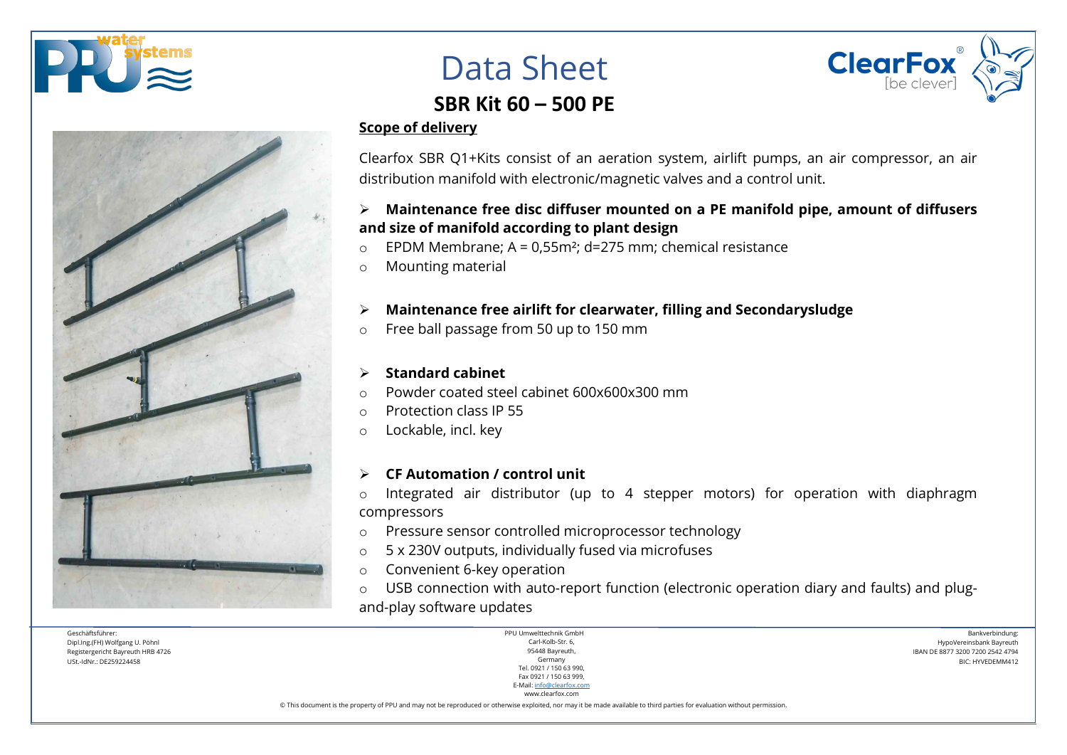





## **SBR Kit 60 – 500 PE**

#### **Scope of delivery**

Clearfox SBR Q1+Kits consist of an aeration system, airlift pumps, an air compressor, an air distribution manifold with electronic/magnetic valves and a control unit.

## **Maintenance free disc diffuser mounted on a PE manifold pipe, amount of diffusers and size of manifold according to plant design**

- $\circ$  EPDM Membrane: A = 0.55m<sup>2</sup>; d=275 mm; chemical resistance
- o Mounting material

## **Maintenance free airlift for clearwater, filling and Secondarysludge**

o Free ball passage from 50 up to 150 mm

### **Standard cabinet**

- o Powder coated steel cabinet 600x600x300 mm
- o Protection class IP 55
- o Lockable, incl. key

### **CF Automation / control unit**

o Integrated air distributor (up to 4 stepper motors) for operation with diaphragm compressors

- o Pressure sensor controlled microprocessor technology
- o 5 x 230V outputs, individually fused via microfuses
- o Convenient 6-key operation
- o USB connection with auto-report function (electronic operation diary and faults) and plugand-play software updates

Geschäftsführer: Dipl.Ing.(FH) Wolfgang U. Pöhnl Registergericht Bayreuth HRB 4726 USt.-IdNr.: DE259224458

| PPU Umwelttechnik GmbH    |
|---------------------------|
| Carl-Kolb-Str. 6.         |
| 95448 Bayreuth,           |
| Germany                   |
| Tel. 0921 / 150 63 990.   |
| Fax 0921 / 150 63 999.    |
| E-Mail: info@clearfox.com |

www.clearfox.com

Bankverbindung: HypoVereinsbank Bayreuth IBAN DE 8877 3200 7200 2542 4794 BIC: HYVEDEMM412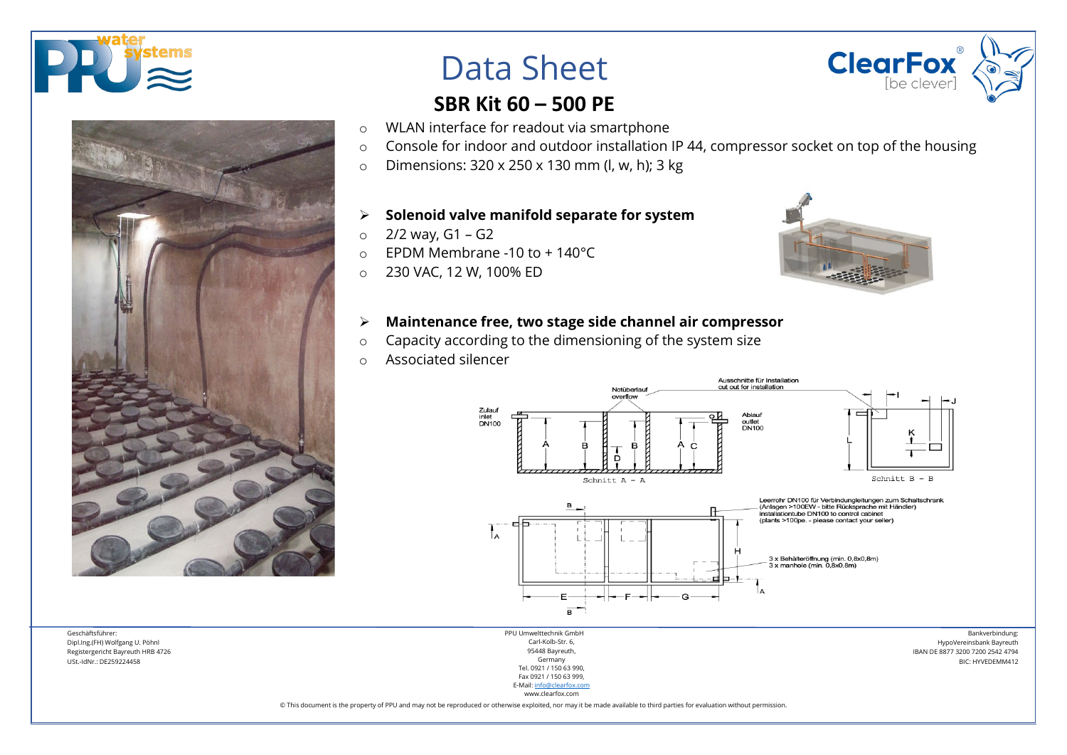





## **SBR Kit 60 – 500 PE**

- o WLAN interface for readout via smartphone
- o Console for indoor and outdoor installation IP 44, compressor socket on top of the housing
- o Dimensions: 320 x 250 x 130 mm (l, w, h); 3 kg

#### **Solenoid valve manifold separate for system**

- $o$  2/2 way, G1 G2
- o EPDM Membrane -10 to + 140°C
- o 230 VAC, 12 W, 100% ED



### **Maintenance free, two stage side channel air compressor**

- o Capacity according to the dimensioning of the system size
- o Associated silencer



Bankverbindung: HypoVereinsbank Bayreuth IBAN DE 8877 3200 7200 2542 4794 BIC: HYVEDEMM412

Geschäftsführer: Dipl.Ing.(FH) Wolfgang U. Pöhnl Registergericht Bayreuth HRB 4726 USt.-IdNr.: DE259224458

PPU Umwelttechnik GmbH Carl-Kolb-Str. 6, 95448 Bayreuth, Germany Tel. 0921 / 150 63 990, Fax 0921 / 150 63 999, E-Mail[: info@clearfox.com](mailto:info@clearfox.com)

www.clearfox.com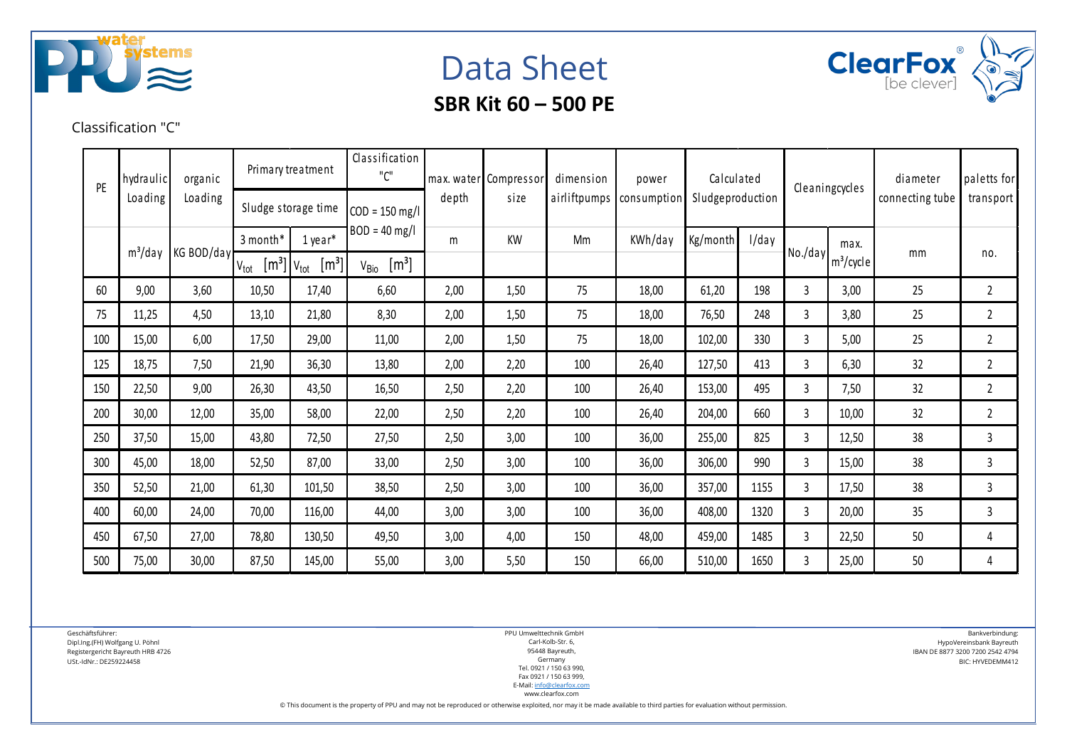





Classification "C"

| hydraulic<br>PE |                          | organic | Primary treatment                                  |                  | Classification<br>"C"                 |      | max. water Compressor | dimension   | power            | Calculated |       |   | Cleaningcycles                                                                  | diameter<br>connecting tube | paletts for    |
|-----------------|--------------------------|---------|----------------------------------------------------|------------------|---------------------------------------|------|-----------------------|-------------|------------------|------------|-------|---|---------------------------------------------------------------------------------|-----------------------------|----------------|
|                 | Loading<br>Loading       |         | Sludge storage time                                | $COD = 150$ mg/l | depth                                 | size | airliftpumps          | consumption | Sludgeproduction |            |       |   | transport                                                                       |                             |                |
|                 | $m^3$ /day<br>KG BOD/day |         | 3 month*                                           | 1 year*          | $BOD = 40$ mg/l                       | m    | KW                    | Mm          | KWh/day          | Kg/month   | I/day |   | max.                                                                            |                             |                |
|                 |                          |         | $\left[\text{m}^3\right]$ V <sub>tot</sub><br>Vtot | $[m^3]$          | [m <sup>3</sup> ]<br>V <sub>Bio</sub> |      |                       |             |                  |            |       |   | $\left\lfloor \frac{\text{No}}{\text{day}} \right\rfloor$ m <sup>3</sup> /cycle | mm                          | no.            |
| 60              | 9,00                     | 3,60    | 10,50                                              | 17,40            | 6,60                                  | 2,00 | 1,50                  | 75          | 18,00            | 61,20      | 198   | 3 | 3,00                                                                            | 25                          | 2              |
| 75              | 11,25                    | 4,50    | 13,10                                              | 21,80            | 8,30                                  | 2,00 | 1,50                  | 75          | 18,00            | 76,50      | 248   | 3 | 3,80                                                                            | 25                          | $\overline{2}$ |
| 100             | 15,00                    | 6,00    | 17,50                                              | 29,00            | 11,00                                 | 2,00 | 1,50                  | 75          | 18,00            | 102,00     | 330   | 3 | 5,00                                                                            | 25                          | $\overline{2}$ |
| 125             | 18,75                    | 7,50    | 21,90                                              | 36,30            | 13,80                                 | 2,00 | 2,20                  | 100         | 26,40            | 127,50     | 413   | 3 | 6,30                                                                            | 32                          | $\overline{2}$ |
| 150             | 22,50                    | 9,00    | 26,30                                              | 43,50            | 16,50                                 | 2,50 | 2,20                  | 100         | 26,40            | 153,00     | 495   | 3 | 7,50                                                                            | 32                          | $\overline{2}$ |
| 200             | 30,00                    | 12,00   | 35,00                                              | 58,00            | 22,00                                 | 2,50 | 2,20                  | 100         | 26,40            | 204,00     | 660   | 3 | 10,00                                                                           | 32                          | $\overline{2}$ |
| 250             | 37,50                    | 15,00   | 43,80                                              | 72,50            | 27,50                                 | 2,50 | 3,00                  | 100         | 36,00            | 255,00     | 825   | 3 | 12,50                                                                           | 38                          | 3              |
| 300             | 45,00                    | 18,00   | 52,50                                              | 87,00            | 33,00                                 | 2,50 | 3,00                  | 100         | 36,00            | 306,00     | 990   | 3 | 15,00                                                                           | 38                          | $\mathsf{3}$   |
| 350             | 52,50                    | 21,00   | 61,30                                              | 101,50           | 38,50                                 | 2,50 | 3,00                  | 100         | 36,00            | 357,00     | 1155  | 3 | 17,50                                                                           | 38                          | 3              |
| 400             | 60,00                    | 24,00   | 70,00                                              | 116,00           | 44,00                                 | 3,00 | 3,00                  | 100         | 36,00            | 408,00     | 1320  | 3 | 20,00                                                                           | 35                          | 3              |
| 450             | 67,50                    | 27,00   | 78,80                                              | 130,50           | 49,50                                 | 3,00 | 4,00                  | 150         | 48,00            | 459,00     | 1485  | 3 | 22,50                                                                           | 50                          | 4              |
| 500             | 75,00                    | 30,00   | 87,50                                              | 145,00           | 55,00                                 | 3,00 | 5,50                  | 150         | 66,00            | 510,00     | 1650  | 3 | 25,00                                                                           | 50                          | 4              |

Geschäftsführer: Dipl.Ing.(FH) Wolfgang U. Pöhnl Registergericht Bayreuth HRB 4726 USt.-IdNr.: DE259224458

PPU Umwelttechnik GmbH Carl-Kolb-Str. 6, 95448 Bayreuth, Germany Tel. 0921 / 150 63 990, Fax 0921 / 150 63 999, E-Mail[: info@clearfox.com](mailto:info@clearfox.com)

www.clearfox.com

© This document is the property of PPU and may not be reproduced or otherwise exploited, nor may it be made available to third parties for evaluation without permission.

Bankverbindung: HypoVereinsbank Bayreuth IBAN DE 8877 3200 7200 2542 4794 BIC: HYVEDEMM412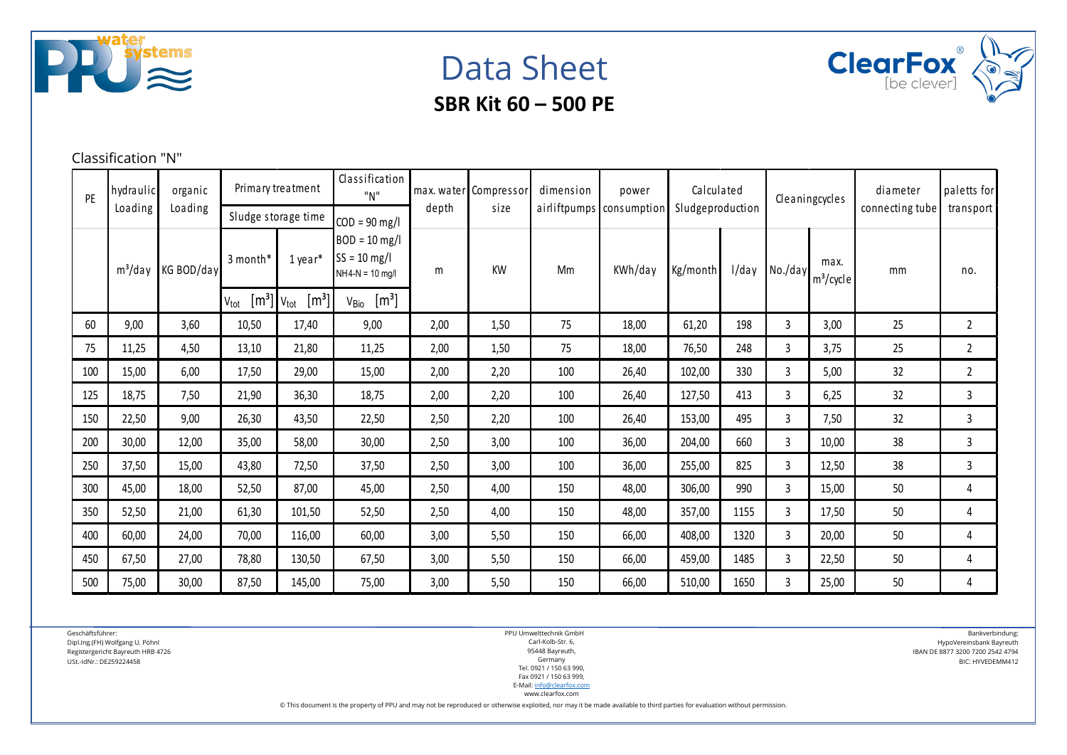

Data Sheet



Classification "N"

| PF  | hydraulic<br>Loading | organic<br>Loading | Primary treatment                                          |                             | Sludge storage time                                                       |      | Classification<br>"N"<br>depth |     | max. water Compressor<br>size | dimension | power<br>airliftpumps consumption | Calculated<br>Sludgeproduction |                      | Cleaningcycles |                | diameter<br>connecting tube | paletts for<br>transport |
|-----|----------------------|--------------------|------------------------------------------------------------|-----------------------------|---------------------------------------------------------------------------|------|--------------------------------|-----|-------------------------------|-----------|-----------------------------------|--------------------------------|----------------------|----------------|----------------|-----------------------------|--------------------------|
|     | $m^3$ /day           | KG BOD/day         | 3 month*                                                   | 1 year*                     | $COD = 90$ mg/l<br>$BOD = 10$ mg/l<br>$SS = 10$ mg/l<br>$NH4-N = 10$ mg/l | m    | <b>KW</b>                      | Mm  | KWh/day                       | Kg/month  | l/day                             | No./day                        | max.<br>$m^3$ /cycle | mm             | no.            |                             |                          |
|     |                      |                    | $\lfloor m^3 \rfloor$ V <sub>tot</sub><br>$V_{\text{tot}}$ | $\left[\mathrm{m}^3\right]$ | $\left[\mathrm{m}^3\right]$<br>V <sub>Bio</sub>                           |      |                                |     |                               |           |                                   |                                |                      |                |                |                             |                          |
| 60  | 9,00                 | 3,60               | 10,50                                                      | 17,40                       | 9,00                                                                      | 2,00 | 1,50                           | 75  | 18,00                         | 61,20     | 198                               | 3                              | 3,00                 | 25             | $\mathbf{2}$   |                             |                          |
| 75  | 11,25                | 4,50               | 13,10                                                      | 21,80                       | 11,25                                                                     | 2,00 | 1,50                           | 75  | 18,00                         | 76,50     | 248                               | 3                              | 3,75                 | 25             | $\overline{2}$ |                             |                          |
| 100 | 15,00                | 6,00               | 17,50                                                      | 29,00                       | 15,00                                                                     | 2,00 | 2,20                           | 100 | 26,40                         | 102,00    | 330                               | 3                              | 5,00                 | 32             | $\overline{2}$ |                             |                          |
| 125 | 18,75                | 7,50               | 21,90                                                      | 36,30                       | 18,75                                                                     | 2,00 | 2,20                           | 100 | 26,40                         | 127,50    | 413                               | 3                              | 6,25                 | 32             | 3              |                             |                          |
| 150 | 22,50                | 9,00               | 26,30                                                      | 43,50                       | 22,50                                                                     | 2,50 | 2,20                           | 100 | 26,40                         | 153,00    | 495                               | 3                              | 7,50                 | 32             | 3              |                             |                          |
| 200 | 30,00                | 12,00              | 35,00                                                      | 58,00                       | 30,00                                                                     | 2,50 | 3,00                           | 100 | 36,00                         | 204,00    | 660                               | 3                              | 10,00                | 38             | 3              |                             |                          |
| 250 | 37,50                | 15,00              | 43,80                                                      | 72,50                       | 37,50                                                                     | 2,50 | 3,00                           | 100 | 36,00                         | 255,00    | 825                               | 3                              | 12,50                | 38             | 3              |                             |                          |
| 300 | 45,00                | 18,00              | 52,50                                                      | 87,00                       | 45,00                                                                     | 2,50 | 4,00                           | 150 | 48,00                         | 306,00    | 990                               | 3                              | 15,00                | 50             | 4              |                             |                          |
| 350 | 52,50                | 21,00              | 61,30                                                      | 101,50                      | 52,50                                                                     | 2,50 | 4,00                           | 150 | 48,00                         | 357,00    | 1155                              | 3                              | 17,50                | 50             | 4              |                             |                          |
| 400 | 60,00                | 24,00              | 70,00                                                      | 116,00                      | 60,00                                                                     | 3,00 | 5,50                           | 150 | 66,00                         | 408,00    | 1320                              | 3                              | 20,00                | 50             | 4              |                             |                          |
| 450 | 67,50                | 27,00              | 78,80                                                      | 130,50                      | 67,50                                                                     | 3,00 | 5,50                           | 150 | 66,00                         | 459,00    | 1485                              | 3                              | 22,50                | 50             | 4              |                             |                          |
| 500 | 75,00                | 30,00              | 87,50                                                      | 145,00                      | 75,00                                                                     | 3,00 | 5,50                           | 150 | 66,00                         | 510,00    | 1650                              | 3                              | 25,00                | 50             | 4              |                             |                          |

Geschäftsführer:

Dipl.Ing.(FH) Wolfgang U. Pöhnl Registergericht Bayreuth HRB 4726

USt.-IdNr.: DE259224458

PPU Umwelttechnik GmbH Carl-Kolb-Str. 6, 95448 Bayreuth, Germany Tel. 0921 / 150 63 990, Fax 0921 / 150 63 999, E-Mail[: info@clearfox.com](mailto:info@clearfox.com)

Bankverbindung: HypoVereinsbank Bayreuth IBAN DE 8877 3200 7200 2542 4794 BIC: HYVEDEMM412

www.clearfox.com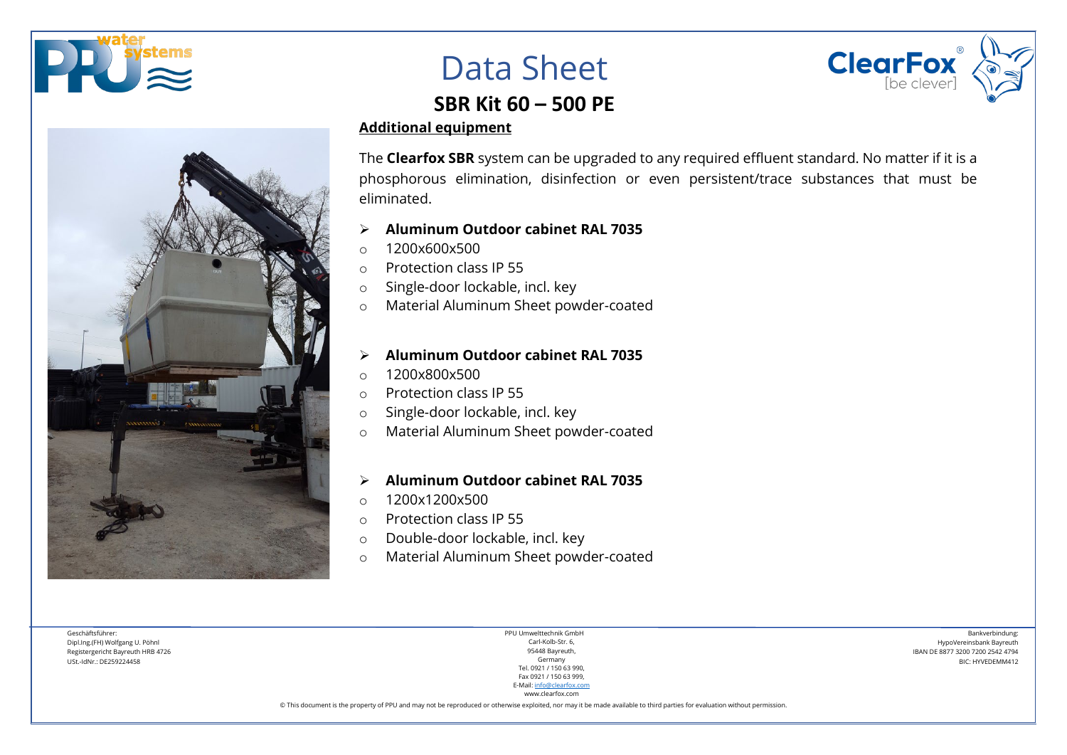





## **SBR Kit 60 – 500 PE**

#### **Additional equipment**

The **Clearfox SBR** system can be upgraded to any required effluent standard. No matter if it is a phosphorous elimination, disinfection or even persistent/trace substances that must be eliminated.

- **Aluminum Outdoor cabinet RAL 7035**
- $0.1200x600x500$
- o Protection class IP 55
- o Single-door lockable, incl. key
- o Material Aluminum Sheet powder-coated

### **Aluminum Outdoor cabinet RAL 7035**

- o 1200x800x500
- o Protection class IP 55
- o Single-door lockable, incl. key
- o Material Aluminum Sheet powder-coated

#### **Aluminum Outdoor cabinet RAL 7035**

- $0.1200x1200x500$
- o Protection class IP 55
- o Double-door lockable, incl. key
- o Material Aluminum Sheet powder-coated

Geschäftsführer: Dipl.Ing.(FH) Wolfgang U. Pöhnl Registergericht Bayreuth HRB 4726 USt.-IdNr.: DE259224458

PPU Umwelttechnik GmbH Carl-Kolb-Str. 6, 95448 Bayreuth, Germany Tel. 0921 / 150 63 990, Fax 0921 / 150 63 999, E-Mail[: info@clearfox.com](mailto:info@clearfox.com)

Bankverbindung: HypoVereinsbank Bayreuth IBAN DE 8877 3200 7200 2542 4794 BIC: HYVEDEMM412

www.clearfox.com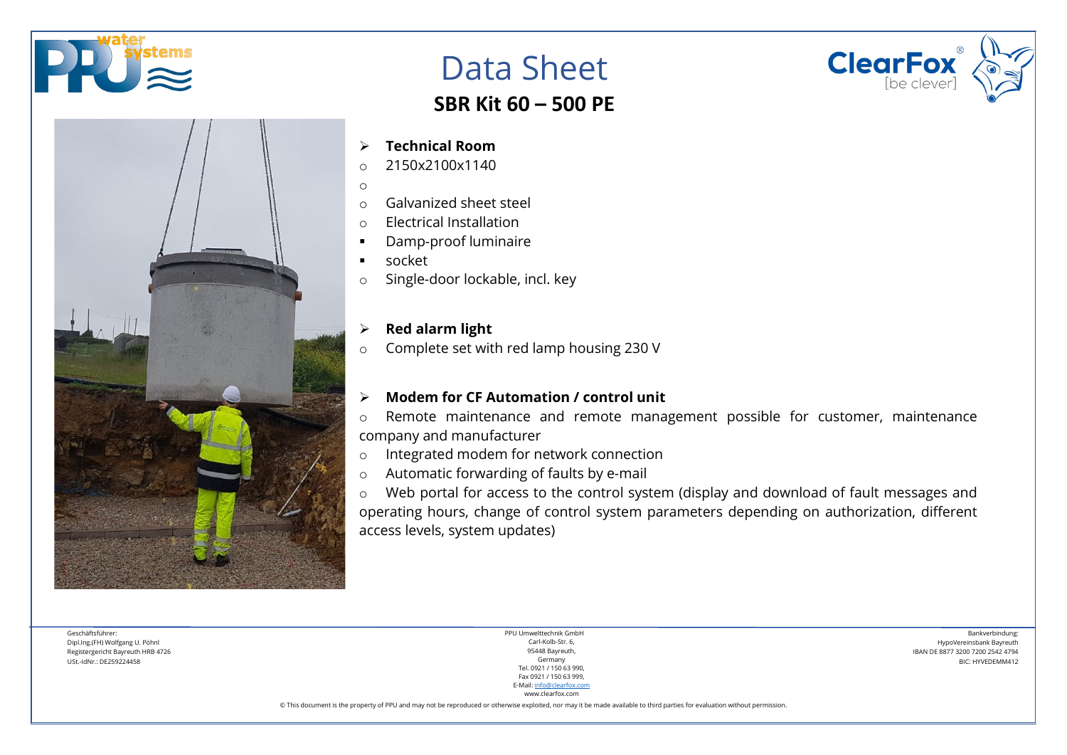



## **SBR Kit 60 – 500 PE**

**ClearFox** 

#### **Technical Room**

- $o$  2150x2100x1140
- o
- o Galvanized sheet steel
- o Electrical Installation
- Damp-proof luminaire
- socket
- o Single-door lockable, incl. key

### **Red alarm light**

o Complete set with red lamp housing 230 V

#### **Modem for CF Automation / control unit**

o Remote maintenance and remote management possible for customer, maintenance company and manufacturer

- o Integrated modem for network connection
- o Automatic forwarding of faults by e-mail

o Web portal for access to the control system (display and download of fault messages and operating hours, change of control system parameters depending on authorization, different access levels, system updates)

Geschäftsführer: Dipl.Ing.(FH) Wolfgang U. Pöhnl Registergericht Bayreuth HRB 4726 USt.-IdNr.: DE259224458

PPU Umwelttechnik GmbH Carl-Kolb-Str. 6, 95448 Bayreuth, Germany Tel. 0921 / 150 63 990, Fax 0921 / 150 63 999, E-Mail[: info@clearfox.com](mailto:info@clearfox.com)

www.clearfox.com

Bankverbindung: HypoVereinsbank Bayreuth IBAN DE 8877 3200 7200 2542 4794 BIC: HYVEDEMM412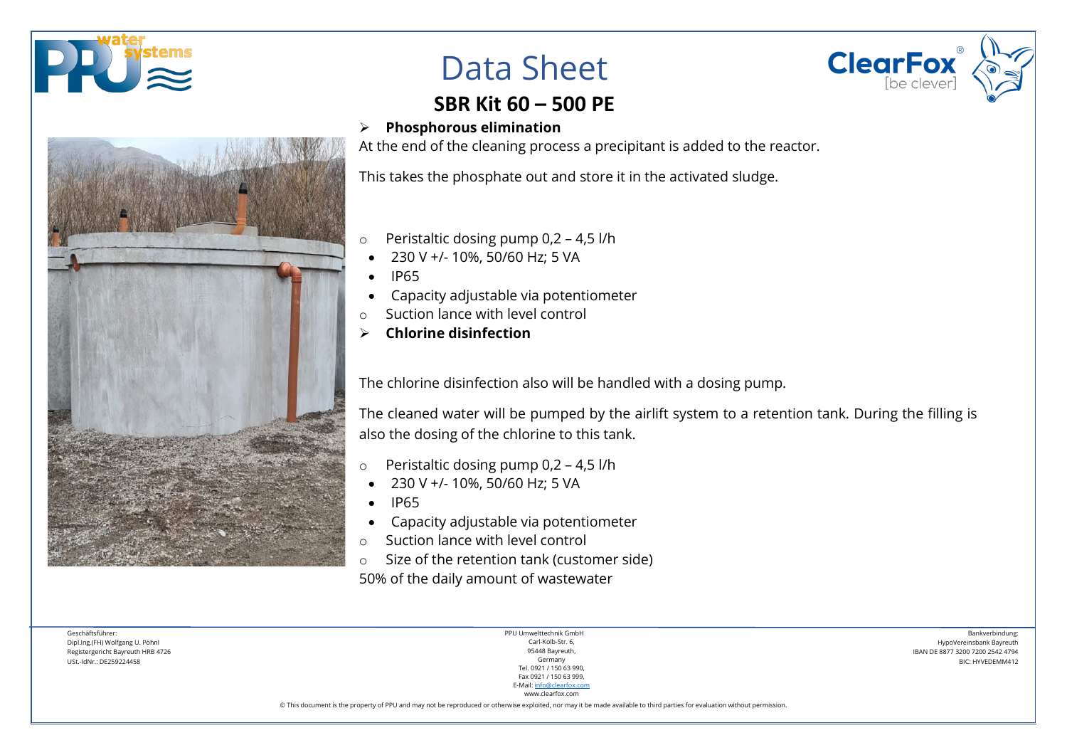





## **SBR Kit 60 – 500 PE**

**Phosphorous elimination**

At the end of the cleaning process a precipitant is added to the reactor.

This takes the phosphate out and store it in the activated sludge.

- o Peristaltic dosing pump 0,2 4,5 l/h
- 230 V +/- 10%, 50/60 Hz; 5 VA
- IP65
- Capacity adjustable via potentiometer
- Suction lance with level control
- **Chlorine disinfection**

The chlorine disinfection also will be handled with a dosing pump.

The cleaned water will be pumped by the airlift system to a retention tank. During the filling is also the dosing of the chlorine to this tank.

- o Peristaltic dosing pump 0,2 4,5 l/h
- 230 V +/- 10%, 50/60 Hz; 5 VA
- IP65
- Capacity adjustable via potentiometer
- o Suction lance with level control
- o Size of the retention tank (customer side)

50% of the daily amount of wastewater

Geschäftsführer: Dipl.Ing.(FH) Wolfgang U. Pöhnl Registergericht Bayreuth HRB 4726 USt.-IdNr.: DE259224458

PPU Umwelttechnik GmbH Carl-Kolb-Str. 6, 95448 Bayreuth, Germany Tel. 0921 / 150 63 990, Fax 0921 / 150 63 999, E-Mail[: info@clearfox.com](mailto:info@clearfox.com)

Bankverbindung: HypoVereinsbank Bayreuth IBAN DE 8877 3200 7200 2542 4794 BIC: HYVEDEMM412

www.clearfox.com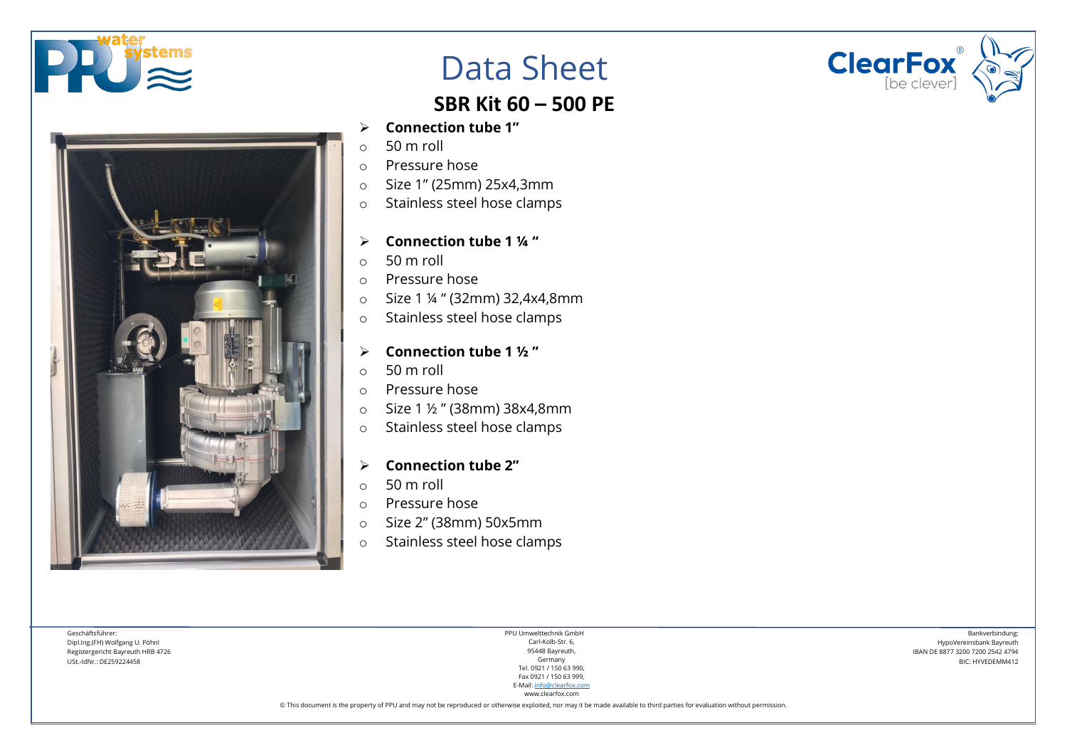



## **SBR Kit 60 – 500 PE**

- **Connection tube 1"**
- o 50 m roll
- o Pressure hose
- o Size 1" (25mm) 25x4,3mm
- o Stainless steel hose clamps
- **Connection tube 1 ¼ "**
- $\circ$  50 m roll
- o Pressure hose
- o Size 1 ¼ " (32mm) 32,4x4,8mm
- o Stainless steel hose clamps
- **Connection tube 1 ½ "**
- o 50 m roll
- o Pressure hose
- o Size 1 ½ " (38mm) 38x4,8mm
- o Stainless steel hose clamps
- **Connection tube 2"**
- o 50 m roll
- o Pressure hose
- o Size 2" (38mm) 50x5mm
- o Stainless steel hose clamps

Geschäftsführer: Dipl.Ing.(FH) Wolfgang U. Pöhnl Registergericht Bayreuth HRB 4726 USt.-IdNr.: DE259224458

PPU Umwelttechnik GmbH Carl-Kolb-Str. 6, 95448 Bayreuth, Germany Tel. 0921 / 150 63 990, Fax 0921 / 150 63 999, E-Mail[: info@clearfox.com](mailto:info@clearfox.com)

www.clearfox.com

© This document is the property of PPU and may not be reproduced or otherwise exploited, nor may it be made available to third parties for evaluation without permission.



Bankverbindung: HypoVereinsbank Bayreuth IBAN DE 8877 3200 7200 2542 4794 BIC: HYVEDEMM412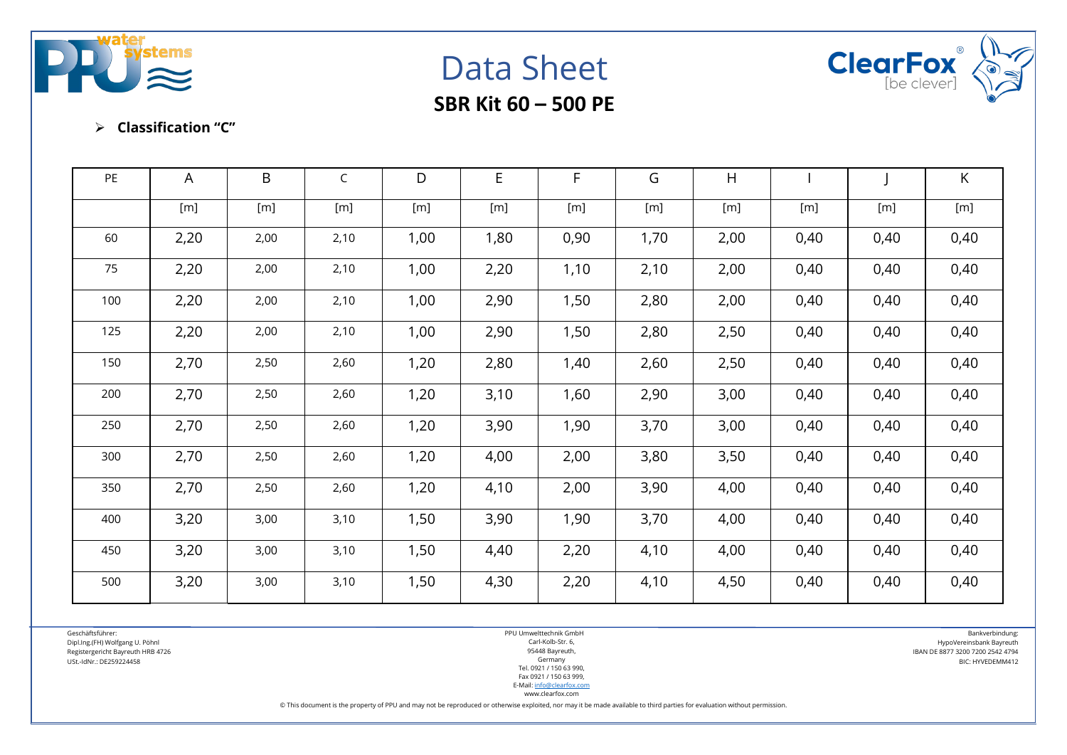





#### **Classification "C"**

| PE  | A              | $\mathsf B$    | $\mathsf{C}$ | D           | $\mathsf E$ | $\mathsf{F}$ | G    | H              |             |                | K              |
|-----|----------------|----------------|--------------|-------------|-------------|--------------|------|----------------|-------------|----------------|----------------|
|     | $[\mathsf{m}]$ | $[\mathsf{m}]$ | [m]          | $[{\sf m}]$ | [m]         | [m]          | [m]  | $[\mathsf{m}]$ | $[{\sf m}]$ | $[\mathsf{m}]$ | $[\mathsf{m}]$ |
| 60  | 2,20           | 2,00           | 2,10         | 1,00        | 1,80        | 0,90         | 1,70 | 2,00           | 0,40        | 0,40           | 0,40           |
| 75  | 2,20           | 2,00           | 2,10         | 1,00        | 2,20        | 1,10         | 2,10 | 2,00           | 0,40        | 0,40           | 0,40           |
| 100 | 2,20           | 2,00           | 2,10         | 1,00        | 2,90        | 1,50         | 2,80 | 2,00           | 0,40        | 0,40           | 0,40           |
| 125 | 2,20           | 2,00           | 2,10         | 1,00        | 2,90        | 1,50         | 2,80 | 2,50           | 0,40        | 0,40           | 0,40           |
| 150 | 2,70           | 2,50           | 2,60         | 1,20        | 2,80        | 1,40         | 2,60 | 2,50           | 0,40        | 0,40           | 0,40           |
| 200 | 2,70           | 2,50           | 2,60         | 1,20        | 3,10        | 1,60         | 2,90 | 3,00           | 0,40        | 0,40           | 0,40           |
| 250 | 2,70           | 2,50           | 2,60         | 1,20        | 3,90        | 1,90         | 3,70 | 3,00           | 0,40        | 0,40           | 0,40           |
| 300 | 2,70           | 2,50           | 2,60         | 1,20        | 4,00        | 2,00         | 3,80 | 3,50           | 0,40        | 0,40           | 0,40           |
| 350 | 2,70           | 2,50           | 2,60         | 1,20        | 4,10        | 2,00         | 3,90 | 4,00           | 0,40        | 0,40           | 0,40           |
| 400 | 3,20           | 3,00           | 3,10         | 1,50        | 3,90        | 1,90         | 3,70 | 4,00           | 0,40        | 0,40           | 0,40           |
| 450 | 3,20           | 3,00           | 3,10         | 1,50        | 4,40        | 2,20         | 4,10 | 4,00           | 0,40        | 0,40           | 0,40           |
| 500 | 3,20           | 3,00           | 3,10         | 1,50        | 4,30        | 2,20         | 4,10 | 4,50           | 0,40        | 0,40           | 0,40           |

Geschäftsführer: Dipl.Ing.(FH) Wolfgang U. Pöhnl Registergericht Bayreuth HRB 4726 USt.-IdNr.: DE259224458

PPU Umwelttechnik GmbH Carl-Kolb-Str. 6, 95448 Bayreuth, Germany Tel. 0921 / 150 63 990, Fax 0921 / 150 63 999, E-Mail[: info@clearfox.com](mailto:info@clearfox.com)

Bankverbindung: HypoVereinsbank Bayreuth IBAN DE 8877 3200 7200 2542 4794 BIC: HYVEDEMM412

www.clearfox.com